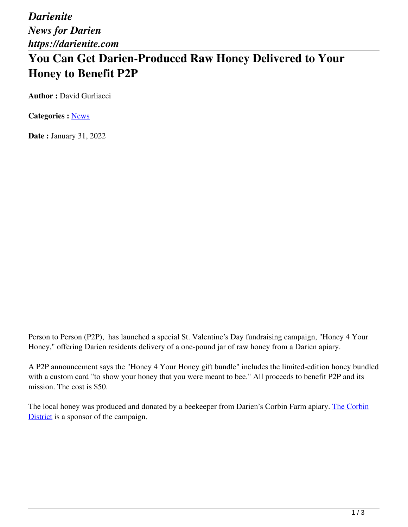*Darienite News for Darien https://darienite.com*

# **You Can Get Darien-Produced Raw Honey Delivered to Your Honey to Benefit P2P**

**Author : David Gurliacci** 

**Categories :** [News](https://darienite.com/category/news)

**Date :** January 31, 2022

Person to Person (P2P), has launched a special St. Valentine's Day fundraising campaign, "Honey 4 Your Honey," offering Darien residents delivery of a one-pound jar of raw honey from a Darien apiary.

A P2P announcement says the "Honey 4 Your Honey gift bundle" includes the limited-edition honey bundled with a custom card "to show your honey that you were meant to bee." All proceeds to benefit P2P and its mission. The cost is \$50.

The local honey was produced and donated by a beekeeper from Darien's Corbin Farm apiary. The Corbin District is a sponsor of the campaign.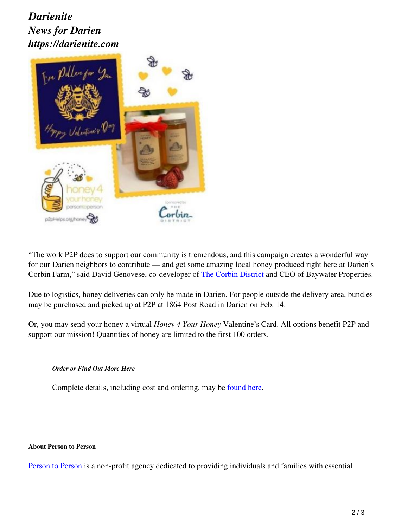## *Darienite News for Darien https://darienite.com*



"The work P2P does to support our community is tremendous, and this campaign creates a wonderful way for our Darien neighbors to contribute — and get some amazing local honey produced right here at Darien's Corbin Farm," said David Genovese, co-developer of The Corbin District and CEO of Baywater Properties.

Due to logistics, honey deliveries can only be made in Darien. For people outside the delivery area, bundles may be purchased and picked up at P2P at 1864 Post Road in Darien on Feb. 14.

Or, you may send your honey a virtual *Honey 4 Your Honey* Valentine's Card. All options benefit P2P and support our mission! Quantities of honey are limited to the first 100 orders.

### *Order or Find Out More Here*

Complete details, including cost and ordering, may be found here.

#### **About Person to Person**

Person to Person is a non-profit agency dedicated to providing individuals and families with essential